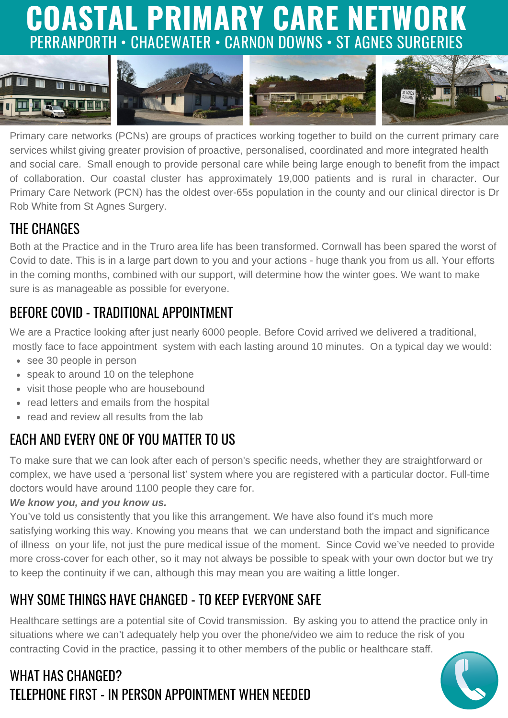# **COASTAL PRIMARY CARE NETWORK** PERRANPORTH • CHACEWATER • CARNON DOWNS • ST AGNES SURGERIES



Primary care networks (PCNs) are groups of practices working together to build on the current primary care services whilst giving greater provision of proactive, personalised, coordinated and more integrated health and social care. Small enough to provide personal care while being large enough to benefit from the impact of collaboration. Our coastal cluster has approximately 19,000 patients and is rural in character. Our Primary Care Network (PCN) has the oldest over-65s population in the county and our clinical director is Dr Rob White from St Agnes Surgery.

#### THE CHANGES

Both at the Practice and in the Truro area life has been transformed. Cornwall has been spared the worst of Covid to date. This is in a large part down to you and your actions - huge thank you from us all. Your efforts in the coming months, combined with our support, will determine how the winter goes. We want to make sure is as manageable as possible for everyone.

#### BEFORE COVID - TRADITIONAL APPOINTMENT

We are a Practice looking after just nearly 6000 people. Before Covid arrived we delivered a traditional, mostly face to face appointment system with each lasting around 10 minutes. On a typical day we would:

- see 30 people in person
- speak to around 10 on the telephone
- visit those people who are housebound
- read letters and emails from the hospital
- read and review all results from the lab

## EACH AND EVERY ONE OF YOU MATTER TO US

To make sure that we can look after each of person's specific needs, whether they are straightforward or complex, we have used a 'personal list' system where you are registered with a particular doctor. Full-time doctors would have around 1100 people they care for.

#### *We know you, and you know us.*

You've told us consistently that you like this arrangement. We have also found it's much more satisfying working this way. Knowing you means that we can understand both the impact and significance of illness on your life, not just the pure medical issue of the moment. Since Covid we've needed to provide more cross-cover for each other, so it may not always be possible to speak with your own doctor but we try to keep the continuity if we can, although this may mean you are waiting a little longer.

#### WHY SOME THINGS HAVE CHANGED - TO KEEP EVERYONE SAFE

Healthcare settings are a potential site of Covid transmission. By asking you to attend the practice only in situations where we can't adequately help you over the phone/video we aim to reduce the risk of you contracting Covid in the practice, passing it to other members of the public or healthcare staff.

#### WHAT HAS CHANGED? TELEPHONE FIRST - IN PERSON APPOINTMENT WHEN NEEDED